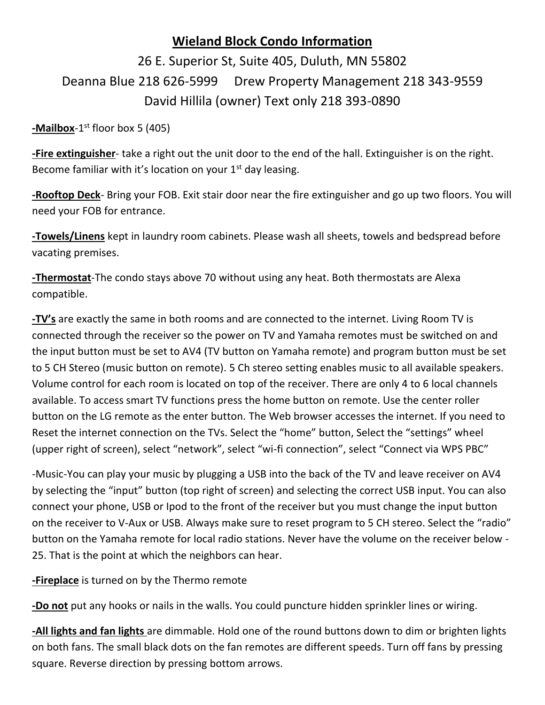## **Wieland Block Condo Information**

## 26 E. Superior St, Suite 405, Duluth, MN 55802 Deanna Blue 218 626-5999 Drew Property Management 218 343-9559 David Hillila (owner) Text only 218 393-0890

**-Mailbox**-1 st floor box 5 (405)

**-Fire extinguisher**- take a right out the unit door to the end of the hall. Extinguisher is on the right. Become familiar with it's location on your  $1<sup>st</sup>$  day leasing.

**-Rooftop Deck**- Bring your FOB. Exit stair door near the fire extinguisher and go up two floors. You will need your FOB for entrance.

**-Towels/Linens** kept in laundry room cabinets. Please wash all sheets, towels and bedspread before vacating premises.

**-Thermostat**-The condo stays above 70 without using any heat. Both thermostats are Alexa compatible.

**-TV's** are exactly the same in both rooms and are connected to the internet. Living Room TV is connected through the receiver so the power on TV and Yamaha remotes must be switched on and the input button must be set to AV4 (TV button on Yamaha remote) and program button must be set to 5 CH Stereo (music button on remote). 5 Ch stereo setting enables music to all available speakers. Volume control for each room is located on top of the receiver. There are only 4 to 6 local channels available. To access smart TV functions press the home button on remote. Use the center roller button on the LG remote as the enter button. The Web browser accesses the internet. If you need to Reset the internet connection on the TVs. Select the "home" button, Select the "settings" wheel (upper right of screen), select "network", select "wi-fi connection", select "Connect via WPS PBC"

-Music-You can play your music by plugging a USB into the back of the TV and leave receiver on AV4 by selecting the "input" button (top right of screen) and selecting the correct USB input. You can also connect your phone, USB or Ipod to the front of the receiver but you must change the input button on the receiver to V-Aux or USB. Always make sure to reset program to 5 CH stereo. Select the "radio" button on the Yamaha remote for local radio stations. Never have the volume on the receiver below - 25. That is the point at which the neighbors can hear.

**-Fireplace** is turned on by the Thermo remote

**-Do not** put any hooks or nails in the walls. You could puncture hidden sprinkler lines or wiring.

**-All lights and fan lights** are dimmable. Hold one of the round buttons down to dim or brighten lights on both fans. The small black dots on the fan remotes are different speeds. Turn off fans by pressing square. Reverse direction by pressing bottom arrows.